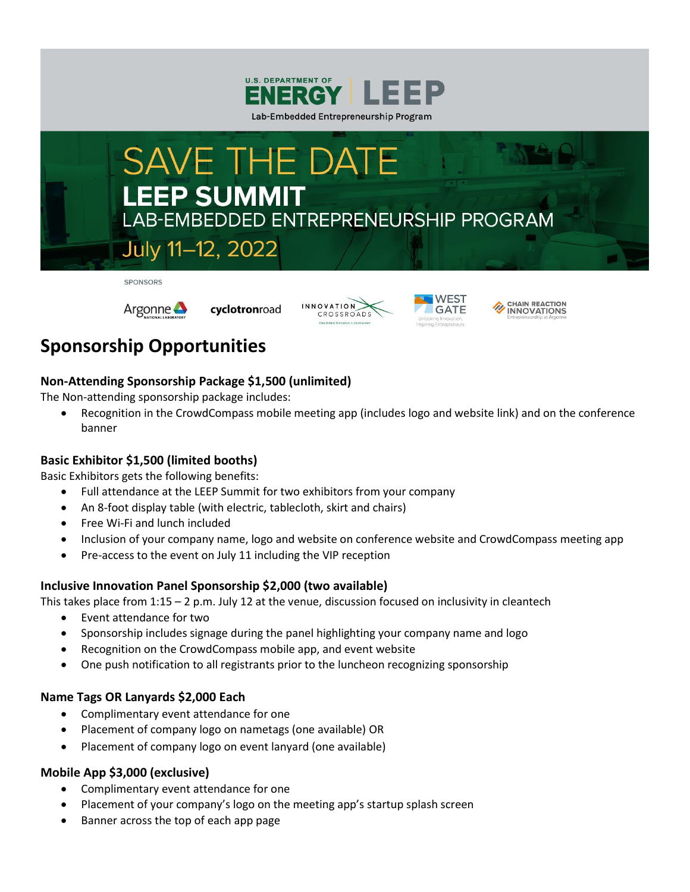



SPONSORS



cyclotronroad







# **Sponsorship Opportunities**

## **Non-Attending Sponsorship Package \$1,500 (unlimited)**

The Non-attending sponsorship package includes:

• Recognition in the CrowdCompass mobile meeting app (includes logo and website link) and on the conference banner

### **Basic Exhibitor \$1,500 (limited booths)**

Basic Exhibitors gets the following benefits:

- Full attendance at the LEEP Summit for two exhibitors from your company
- An 8-foot display table (with electric, tablecloth, skirt and chairs)
- Free Wi-Fi and lunch included
- Inclusion of your company name, logo and website on conference website and CrowdCompass meeting app
- Pre-access to the event on July 11 including the VIP reception

### **Inclusive Innovation Panel Sponsorship \$2,000 (two available)**

This takes place from 1:15 – 2 p.m. July 12 at the venue, discussion focused on inclusivity in cleantech

- Event attendance for two
- Sponsorship includes signage during the panel highlighting your company name and logo
- Recognition on the CrowdCompass mobile app, and event website
- One push notification to all registrants prior to the luncheon recognizing sponsorship

### **Name Tags OR Lanyards \$2,000 Each**

- Complimentary event attendance for one
- Placement of company logo on nametags (one available) OR
- Placement of company logo on event lanyard (one available)

### **Mobile App \$3,000 (exclusive)**

- Complimentary event attendance for one
- Placement of your company's logo on the meeting app's startup splash screen
- Banner across the top of each app page